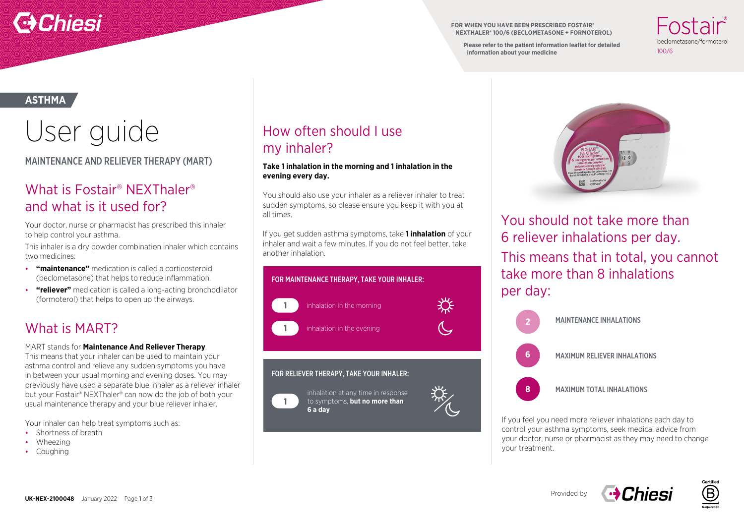

**FOR WHEN YOU HAVE BEEN PRESCRIBED FOSTAIR® NEXTHALER® 100/6 (BECLOMETASONE + FORMOTEROL)**

**Please refer to the patient information leaflet for detailed information about your medicine**

heclometasone/formotero  $100/6$ 

#### **ASTHMA**

# User guide

MAINTENANCE AND RELIEVER THERAPY (MART)

## What is Fostair® NEXThaler® and what is it used for?

Your doctor, nurse or pharmacist has prescribed this inhaler to help control your asthma.

This inhaler is a dry powder combination inhaler which contains two medicines:

- **"maintenance"** medication is called a corticosteroid (beclometasone) that helps to reduce inflammation.
- **"reliever"** medication is called a long-acting bronchodilator (formoterol) that helps to open up the airways.

## What is MART?

#### MART stands for **Maintenance And Reliever Therapy**.

This means that your inhaler can be used to maintain your asthma control and relieve any sudden symptoms you have in between your usual morning and evening doses. You may previously have used a separate blue inhaler as a reliever inhaler but your Fostair® NEXThaler® can now do the job of both your usual maintenance therapy and your blue reliever inhaler.

Your inhaler can help treat symptoms such as:

- Shortness of breath
- Wheezing
- Coughing

## How often should I use my inhaler?

#### **Take 1 inhalation in the morning and 1 inhalation in the evening every day.**

You should also use your inhaler as a reliever inhaler to treat sudden symptoms, so please ensure you keep it with you at all times.

If you get sudden asthma symptoms, take **1 inhalation** of your inhaler and wait a few minutes. If you do not feel better, take another inhalation.



**6 a day**



You should not take more than 6 reliever inhalations per day. This means that in total, you cannot take more than 8 inhalations per day:



If you feel you need more reliever inhalations each day to control your asthma symptoms, seek medical advice from your doctor, nurse or pharmacist as they may need to change your treatment.



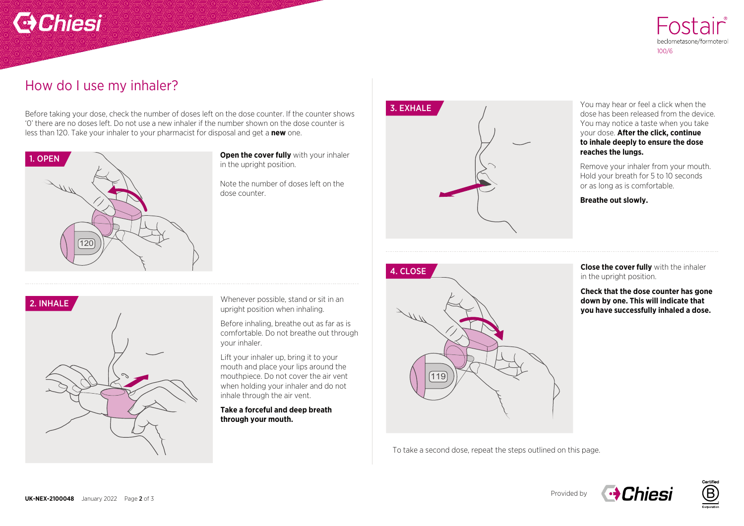## **C**Chiesi



### How do I use my inhaler?

Before taking your dose, check the number of doses left on the dose counter. If the counter shows '0' there are no doses left. Do not use a new inhaler if the number shown on the dose counter is less than 120. Take your inhaler to your pharmacist for disposal and get a **new** one.



**Open the cover fully** with your inhaler in the upright position.

Note the number of doses left on the dose counter.



You may hear or feel a click when the dose has been released from the device. You may notice a taste when you take your dose. **After the click, continue to inhale deeply to ensure the dose reaches the lungs.** 

Remove your inhaler from your mouth. Hold your breath for 5 to 10 seconds or as long as is comfortable.

**Breathe out slowly.** 

**Close the cover fully** with the inhaler in the upright position.

**Check that the dose counter has gone down by one. This will indicate that you have successfully inhaled a dose.** 



Whenever possible, stand or sit in an upright position when inhaling.

Before inhaling, breathe out as far as is comfortable. Do not breathe out through your inhaler.

Lift your inhaler up, bring it to your mouth and place your lips around the mouthpiece. Do not cover the air vent when holding your inhaler and do not inhale through the air vent.

**Take a forceful and deep breath through your mouth.** 



To take a second dose, repeat the steps outlined on this page.